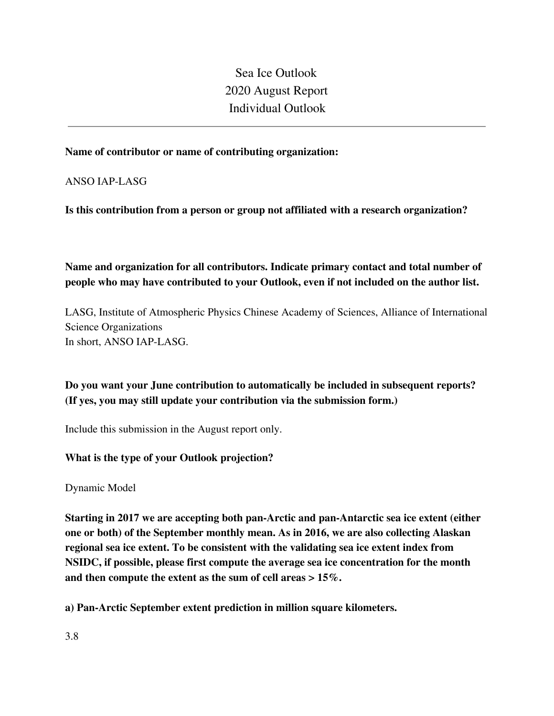Sea Ice Outlook 2020 August Report Individual Outlook

#### **Name of contributor or name of contributing organization:**

ANSO IAP-LASG

**Is this contribution from a person or group not affiliated with a research organization?** 

**Name and organization for all contributors. Indicate primary contact and total number of people who may have contributed to your Outlook, even if not included on the author list.**

LASG, Institute of Atmospheric Physics Chinese Academy of Sciences, Alliance of International Science Organizations In short, ANSO IAP-LASG.

**Do you want your June contribution to automatically be included in subsequent reports? (If yes, you may still update your contribution via the submission form.)**

Include this submission in the August report only.

#### **What is the type of your Outlook projection?**

Dynamic Model

**Starting in 2017 we are accepting both pan-Arctic and pan-Antarctic sea ice extent (either one or both) of the September monthly mean. As in 2016, we are also collecting Alaskan regional sea ice extent. To be consistent with the validating sea ice extent index from NSIDC, if possible, please first compute the average sea ice concentration for the month and then compute the extent as the sum of cell areas > 15%.**

**a) Pan-Arctic September extent prediction in million square kilometers.**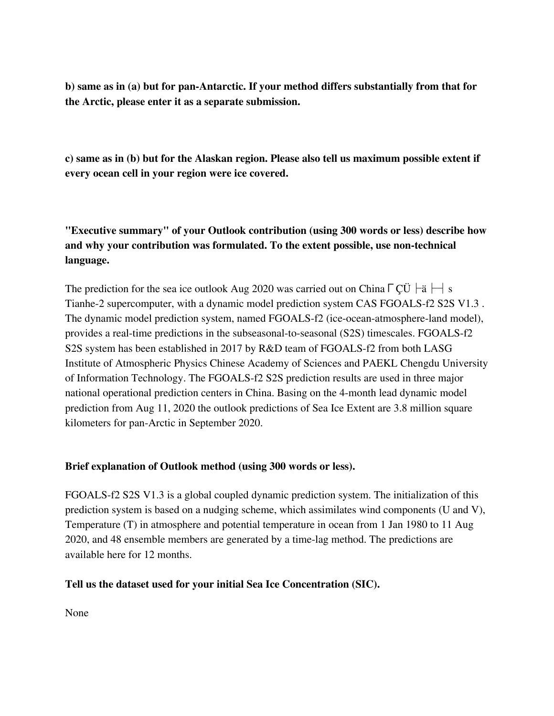**b) same as in (a) but for pan-Antarctic. If your method differs substantially from that for the Arctic, please enter it as a separate submission.**

**c) same as in (b) but for the Alaskan region. Please also tell us maximum possible extent if every ocean cell in your region were ice covered.**

**"Executive summary" of your Outlook contribution (using 300 words or less) describe how and why your contribution was formulated. To the extent possible, use non-technical language.**

The prediction for the sea ice outlook Aug 2020 was carried out on China  $\lceil C\ddot{U} \rceil$   $\dot{\bar{E}}$   $\lceil \cdot \rceil$  s Tianhe-2 supercomputer, with a dynamic model prediction system CAS FGOALS-f2 S2S V1.3 . The dynamic model prediction system, named FGOALS-f2 (ice-ocean-atmosphere-land model), provides a real-time predictions in the subseasonal-to-seasonal (S2S) timescales. FGOALS-f2 S2S system has been established in 2017 by R&D team of FGOALS-f2 from both LASG Institute of Atmospheric Physics Chinese Academy of Sciences and PAEKL Chengdu University of Information Technology. The FGOALS-f2 S2S prediction results are used in three major national operational prediction centers in China. Basing on the 4-month lead dynamic model prediction from Aug 11, 2020 the outlook predictions of Sea Ice Extent are 3.8 million square kilometers for pan-Arctic in September 2020.

### **Brief explanation of Outlook method (using 300 words or less).**

FGOALS-f2 S2S V1.3 is a global coupled dynamic prediction system. The initialization of this prediction system is based on a nudging scheme, which assimilates wind components (U and V), Temperature (T) in atmosphere and potential temperature in ocean from 1 Jan 1980 to 11 Aug 2020, and 48 ensemble members are generated by a time-lag method. The predictions are available here for 12 months.

### **Tell us the dataset used for your initial Sea Ice Concentration (SIC).**

None